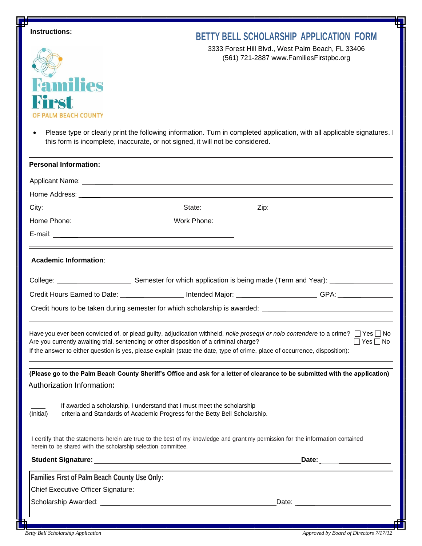| Ŧ<br><b>Instructions:</b>                                                                                                                                           | <b>BETTY BELL SCHOLARSHIP APPLICATION FORM</b>                                                                                                                                                                                                                                                    |
|---------------------------------------------------------------------------------------------------------------------------------------------------------------------|---------------------------------------------------------------------------------------------------------------------------------------------------------------------------------------------------------------------------------------------------------------------------------------------------|
|                                                                                                                                                                     | 3333 Forest Hill Blvd., West Palm Beach, FL 33406<br>(561) 721-2887 www.FamiliesFirstpbc.org                                                                                                                                                                                                      |
| Families                                                                                                                                                            |                                                                                                                                                                                                                                                                                                   |
| RTPST<br><b>PALM BEACH COUNTY</b>                                                                                                                                   |                                                                                                                                                                                                                                                                                                   |
| $\bullet$<br>this form is incomplete, inaccurate, or not signed, it will not be considered.                                                                         | Please type or clearly print the following information. Turn in completed application, with all applicable signatures.                                                                                                                                                                            |
| <b>Personal Information:</b>                                                                                                                                        |                                                                                                                                                                                                                                                                                                   |
|                                                                                                                                                                     |                                                                                                                                                                                                                                                                                                   |
|                                                                                                                                                                     |                                                                                                                                                                                                                                                                                                   |
|                                                                                                                                                                     |                                                                                                                                                                                                                                                                                                   |
|                                                                                                                                                                     |                                                                                                                                                                                                                                                                                                   |
|                                                                                                                                                                     |                                                                                                                                                                                                                                                                                                   |
| <b>Academic Information:</b>                                                                                                                                        |                                                                                                                                                                                                                                                                                                   |
|                                                                                                                                                                     | Credit Hours Earned to Date: ___________________ Intended Major: _______________________GPA: _________________                                                                                                                                                                                    |
|                                                                                                                                                                     |                                                                                                                                                                                                                                                                                                   |
| Are you currently awaiting trial, sentencing or other disposition of a criminal charge?                                                                             | Have you ever been convicted of, or plead guilty, adjudication withheld, nolle prosequi or nolo contendere to a crime? $\Box$ Yes $\Box$ No<br>$\Box$ Yes $\Box$ No<br>If the answer to either question is yes, please explain (state the date, type of crime, place of occurrence, disposition): |
|                                                                                                                                                                     | (Please go to the Palm Beach County Sheriff's Office and ask for a letter of clearance to be submitted with the application)                                                                                                                                                                      |
| Authorization Information:                                                                                                                                          |                                                                                                                                                                                                                                                                                                   |
| If awarded a scholarship, I understand that I must meet the scholarship<br>(Initial)<br>criteria and Standards of Academic Progress for the Betty Bell Scholarship. |                                                                                                                                                                                                                                                                                                   |
| herein to be shared with the scholarship selection committee.                                                                                                       | I certify that the statements herein are true to the best of my knowledge and grant my permission for the information contained                                                                                                                                                                   |
|                                                                                                                                                                     | Date: ___________________                                                                                                                                                                                                                                                                         |
| <b>Families First of Palm Beach County Use Only:</b>                                                                                                                |                                                                                                                                                                                                                                                                                                   |
|                                                                                                                                                                     |                                                                                                                                                                                                                                                                                                   |
|                                                                                                                                                                     |                                                                                                                                                                                                                                                                                                   |
|                                                                                                                                                                     |                                                                                                                                                                                                                                                                                                   |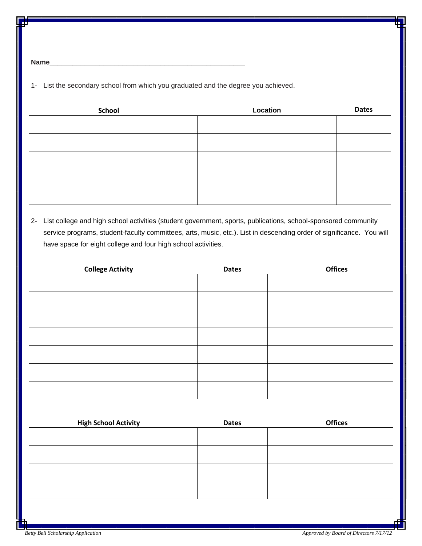**Name\_\_\_\_\_\_\_\_\_\_\_\_\_\_\_\_\_\_\_\_\_\_\_\_\_\_\_\_\_\_\_\_\_\_\_\_\_\_\_\_\_\_\_\_\_\_\_\_\_\_\_**

1- List the secondary school from which you graduated and the degree you achieved.

| School | Location | <b>Dates</b> |
|--------|----------|--------------|
|        |          |              |
|        |          |              |
|        |          |              |
|        |          |              |
|        |          |              |
|        |          |              |
|        |          |              |
|        |          |              |

2- List college and high school activities (student government, sports, publications, school-sponsored community service programs, student-faculty committees, arts, music, etc.). List in descending order of significance. You will have space for eight college and four high school activities.

| <b>College Activity</b> | <b>Dates</b> | <b>Offices</b> |
|-------------------------|--------------|----------------|
|                         |              |                |
|                         |              |                |
|                         |              |                |
|                         |              |                |
|                         |              |                |
|                         |              |                |
|                         |              |                |

| <b>High School Activity</b> | <b>Dates</b> | <b>Offices</b> |
|-----------------------------|--------------|----------------|
|                             |              |                |
|                             |              |                |
|                             |              |                |
|                             |              |                |
|                             |              |                |
|                             |              |                |
|                             |              |                |
|                             |              |                |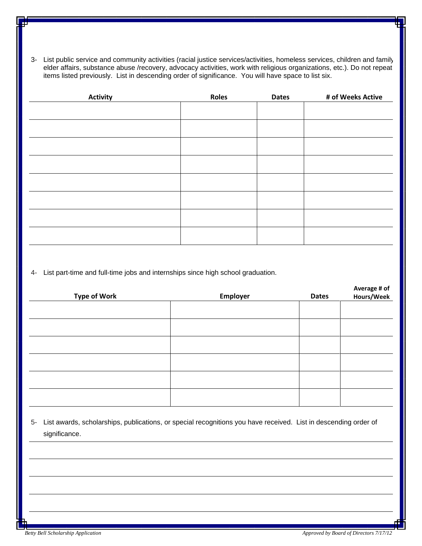3- List public service and community activities (racial justice services/activities, homeless services, children and family, elder affairs, substance abuse /recovery, advocacy activities, work with religious organizations, etc.). Do not repeat items listed previously. List in descending order of significance. You will have space to list six.

| <b>Activity</b> | Roles | <b>Dates</b> | # of Weeks Active |
|-----------------|-------|--------------|-------------------|
|                 |       |              |                   |
|                 |       |              |                   |
|                 |       |              |                   |
|                 |       |              |                   |
|                 |       |              |                   |
|                 |       |              |                   |
|                 |       |              |                   |
|                 |       |              |                   |
|                 |       |              |                   |
|                 |       |              |                   |
|                 |       |              |                   |
|                 |       |              |                   |
|                 |       |              |                   |

4- List part-time and full-time jobs and internships since high school graduation.

| <b>Type of Work</b> | Employer | <b>Dates</b> | Average # of<br>Hours/Week |
|---------------------|----------|--------------|----------------------------|
|                     |          |              |                            |
|                     |          |              |                            |
|                     |          |              |                            |
|                     |          |              |                            |
|                     |          |              |                            |
|                     |          |              |                            |

5- List awards, scholarships, publications, or special recognitions you have received. List in descending order of significance.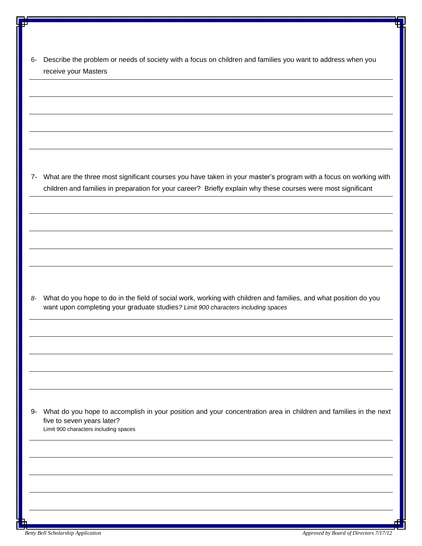| 6- Describe the problem or needs of society with a focus on children and families you want to address when you |
|----------------------------------------------------------------------------------------------------------------|
| receive your Masters                                                                                           |

7- What are the three most significant courses you have taken in your master's program with a focus on working with children and families in preparation for your career? Briefly explain why these courses were most significant

*8-* What do you hope to do in the field of social work, working with children and families, and what position do you want upon completing your graduate studies*? Limit 900 characters including spaces* 

9- What do you hope to accomplish in your position and your concentration area in children and families in the next five to seven years later? Limit 900 characters including spaces